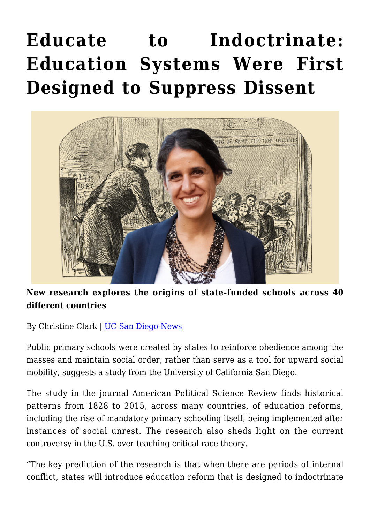## **[Educate to Indoctrinate:](https://gpsnews.ucsd.edu/educate-to-indoctrinate-education-systems-were-first-designed-to-suppress-dissent/) [Education Systems Were First](https://gpsnews.ucsd.edu/educate-to-indoctrinate-education-systems-were-first-designed-to-suppress-dissent/) [Designed to Suppress Dissent](https://gpsnews.ucsd.edu/educate-to-indoctrinate-education-systems-were-first-designed-to-suppress-dissent/)**



## **New research explores the origins of state-funded schools across 40 different countries**

By Christine Clark | [UC San Diego News](https://ucsdnews.ucsd.edu/pressrelease/education-systems-were-first-designed-to-suppress-dissent)

Public primary schools were created by states to reinforce obedience among the masses and maintain social order, rather than serve as a tool for upward social mobility, suggests a study from the University of California San Diego.

The study in the journal American Political Science Review finds historical patterns from 1828 to 2015, across many countries, of education reforms, including the rise of mandatory primary schooling itself, being implemented after instances of social unrest. The research also sheds light on the current controversy in the U.S. over teaching critical race theory.

"The key prediction of the research is that when there are periods of internal conflict, states will introduce education reform that is designed to indoctrinate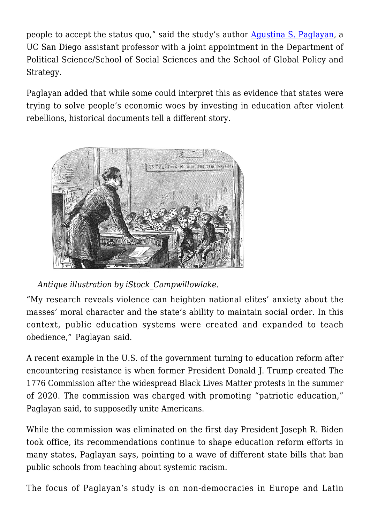people to accept the status quo," said the study's author [Agustina S. Paglayan](https://www.agustinapaglayan.com/), a UC San Diego assistant professor with a joint appointment in the Department of Political Science/School of Social Sciences and the School of Global Policy and Strategy.

Paglayan added that while some could interpret this as evidence that states were trying to solve people's economic woes by investing in education after violent rebellions, historical documents tell a different story.



*Antique illustration by iStock\_Campwillowlake.*

"My research reveals violence can heighten national elites' anxiety about the masses' moral character and the state's ability to maintain social order. In this context, public education systems were created and expanded to teach obedience," Paglayan said.

A recent example in the U.S. of the government turning to education reform after encountering resistance is when former President Donald J. Trump created The 1776 Commission after the widespread Black Lives Matter protests in the summer of 2020. The commission was charged with promoting "patriotic education," Paglayan said, to supposedly unite Americans.

While the commission was eliminated on the first day President Joseph R. Biden took office, its recommendations continue to shape education reform efforts in many states, Paglayan says, pointing to a wave of different state bills that ban public schools from teaching about systemic racism.

The focus of Paglayan's study is on non-democracies in Europe and Latin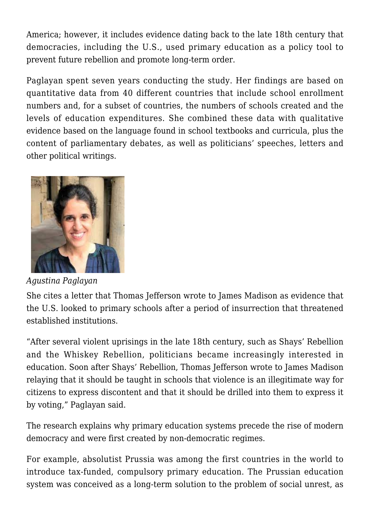America; however, it includes evidence dating back to the late 18th century that democracies, including the U.S., used primary education as a policy tool to prevent future rebellion and promote long-term order.

Paglayan spent seven years conducting the study. Her findings are based on quantitative data from 40 different countries that include school enrollment numbers and, for a subset of countries, the numbers of schools created and the levels of education expenditures. She combined these data with qualitative evidence based on the language found in school textbooks and curricula, plus the content of parliamentary debates, as well as politicians' speeches, letters and other political writings.



*Agustina Paglayan*

She cites a letter that Thomas Jefferson wrote to James Madison as evidence that the U.S. looked to primary schools after a period of insurrection that threatened established institutions.

"After several violent uprisings in the late 18th century, such as Shays' Rebellion and the Whiskey Rebellion, politicians became increasingly interested in education. Soon after Shays' Rebellion, Thomas Jefferson wrote to James Madison relaying that it should be taught in schools that violence is an illegitimate way for citizens to express discontent and that it should be drilled into them to express it by voting," Paglayan said.

The research explains why primary education systems precede the rise of modern democracy and were first created by non-democratic regimes.

For example, absolutist Prussia was among the first countries in the world to introduce tax-funded, compulsory primary education. The Prussian education system was conceived as a long-term solution to the problem of social unrest, as